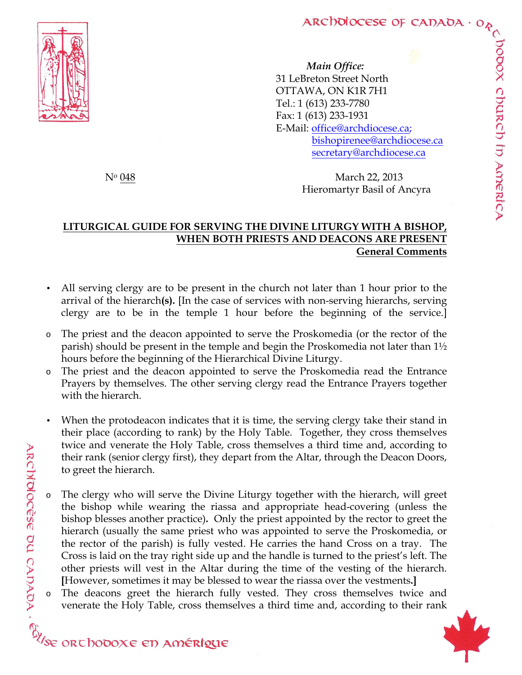oboox church in America



*Main Office:* 31 LeBreton Street North OTTAWA, ON K1R 7H1 Tel.: 1 (613) 233-7780 Fax: 1 (613) 233-1931 E-Mail: office@archdiocese.ca; bishopirenee@archdiocese.ca secretary@archdiocese.ca

N<sup>o</sup> 048 March 22, 2013 Hieromartyr Basil of Ancyra

## **LITURGICAL GUIDE FOR SERVING THE DIVINE LITURGY WITH A BISHOP, WHEN BOTH PRIESTS AND DEACONS ARE PRESENT General Comments**

- All serving clergy are to be present in the church not later than 1 hour prior to the arrival of the hierarch**(s).** [In the case of services with non-serving hierarchs, serving clergy are to be in the temple 1 hour before the beginning of the service.]
- The priest and the deacon appointed to serve the Proskomedia (or the rector of the parish) should be present in the temple and begin the Proskomedia not later than 1½ hours before the beginning of the Hierarchical Divine Liturgy.
- o The priest and the deacon appointed to serve the Proskomedia read the Entrance Prayers by themselves. The other serving clergy read the Entrance Prayers together with the hierarch.
- When the protodeacon indicates that it is time, the serving clergy take their stand in their place (according to rank) by the Holy Table. Together, they cross themselves twice and venerate the Holy Table, cross themselves a third time and, according to their rank (senior clergy first), they depart from the Altar, through the Deacon Doors,
- And to get the cherge.<br>
The clerge of the bishop besses<br>
the bishop besses<br>
hierarch (usually<br>
the rector of the pa.<br>
Cross is laid on the tray<br>
other priests will vest in<br>
However, sometimes it may<br>  $\lambda$  on The dead on g The clergy who will serve the Divine Liturgy together with the hierarch, will greet the bishop while wearing the riassa and appropriate head-covering (unless the bishop blesses another practice)**.** Only the priest appointed by the rector to greet the hierarch (usually the same priest who was appointed to serve the Proskomedia, or the rector of the parish) is fully vested. He carries the hand Cross on a tray. The Cross is laid on the tray right side up and the handle is turned to the priest's left. The other priests will vest in the Altar during the time of the vesting of the hierarch. **[**However, sometimes it may be blessed to wear the riassa over the vestments**.]**
	- The deacons greet the hierarch fully vested. They cross themselves twice and venerate the Holy Table, cross themselves a third time and, according to their rank

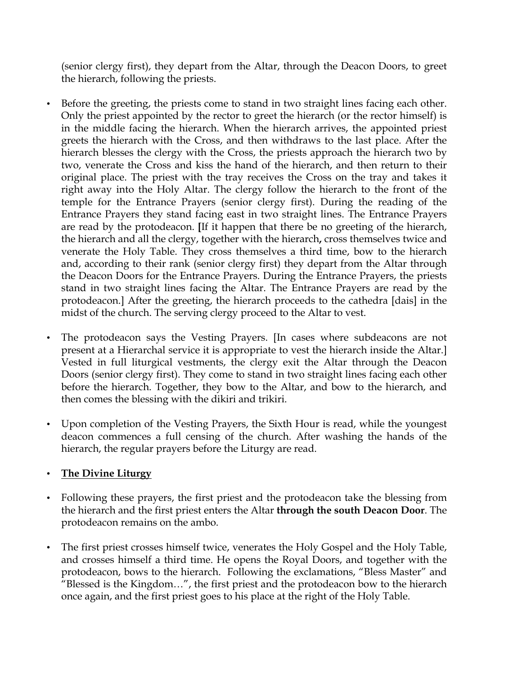(senior clergy first), they depart from the Altar, through the Deacon Doors, to greet the hierarch, following the priests.

- Before the greeting, the priests come to stand in two straight lines facing each other. Only the priest appointed by the rector to greet the hierarch (or the rector himself) is in the middle facing the hierarch. When the hierarch arrives, the appointed priest greets the hierarch with the Cross, and then withdraws to the last place. After the hierarch blesses the clergy with the Cross, the priests approach the hierarch two by two, venerate the Cross and kiss the hand of the hierarch, and then return to their original place. The priest with the tray receives the Cross on the tray and takes it right away into the Holy Altar. The clergy follow the hierarch to the front of the temple for the Entrance Prayers (senior clergy first). During the reading of the Entrance Prayers they stand facing east in two straight lines. The Entrance Prayers are read by the protodeacon. **[**If it happen that there be no greeting of the hierarch, the hierarch and all the clergy, together with the hierarch**,** cross themselves twice and venerate the Holy Table. They cross themselves a third time, bow to the hierarch and, according to their rank (senior clergy first) they depart from the Altar through the Deacon Doors for the Entrance Prayers. During the Entrance Prayers, the priests stand in two straight lines facing the Altar. The Entrance Prayers are read by the protodeacon.] After the greeting, the hierarch proceeds to the cathedra [dais] in the midst of the church. The serving clergy proceed to the Altar to vest.
- The protodeacon says the Vesting Prayers. [In cases where subdeacons are not present at a Hierarchal service it is appropriate to vest the hierarch inside the Altar.] Vested in full liturgical vestments, the clergy exit the Altar through the Deacon Doors (senior clergy first). They come to stand in two straight lines facing each other before the hierarch. Together, they bow to the Altar, and bow to the hierarch, and then comes the blessing with the dikiri and trikiri.
- Upon completion of the Vesting Prayers, the Sixth Hour is read, while the youngest deacon commences a full censing of the church. After washing the hands of the hierarch, the regular prayers before the Liturgy are read.

## • **The Divine Liturgy**

- Following these prayers, the first priest and the protodeacon take the blessing from the hierarch and the first priest enters the Altar **through the south Deacon Door**. The protodeacon remains on the ambo.
- The first priest crosses himself twice, venerates the Holy Gospel and the Holy Table, and crosses himself a third time. He opens the Royal Doors, and together with the protodeacon, bows to the hierarch. Following the exclamations, "Bless Master" and "Blessed is the Kingdom…", the first priest and the protodeacon bow to the hierarch once again, and the first priest goes to his place at the right of the Holy Table.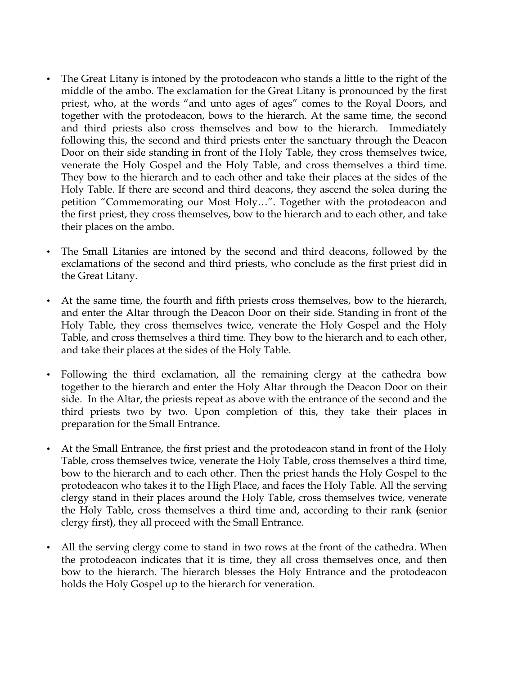- The Great Litany is intoned by the protodeacon who stands a little to the right of the middle of the ambo. The exclamation for the Great Litany is pronounced by the first priest, who, at the words "and unto ages of ages" comes to the Royal Doors, and together with the protodeacon, bows to the hierarch. At the same time, the second and third priests also cross themselves and bow to the hierarch. Immediately following this, the second and third priests enter the sanctuary through the Deacon Door on their side standing in front of the Holy Table, they cross themselves twice, venerate the Holy Gospel and the Holy Table, and cross themselves a third time. They bow to the hierarch and to each other and take their places at the sides of the Holy Table. If there are second and third deacons, they ascend the solea during the petition "Commemorating our Most Holy…". Together with the protodeacon and the first priest, they cross themselves, bow to the hierarch and to each other, and take their places on the ambo.
- The Small Litanies are intoned by the second and third deacons, followed by the exclamations of the second and third priests, who conclude as the first priest did in the Great Litany.
- At the same time, the fourth and fifth priests cross themselves, bow to the hierarch, and enter the Altar through the Deacon Door on their side. Standing in front of the Holy Table, they cross themselves twice, venerate the Holy Gospel and the Holy Table, and cross themselves a third time. They bow to the hierarch and to each other, and take their places at the sides of the Holy Table.
- Following the third exclamation, all the remaining clergy at the cathedra bow together to the hierarch and enter the Holy Altar through the Deacon Door on their side. In the Altar, the priests repeat as above with the entrance of the second and the third priests two by two. Upon completion of this, they take their places in preparation for the Small Entrance.
- At the Small Entrance, the first priest and the protodeacon stand in front of the Holy Table, cross themselves twice, venerate the Holy Table, cross themselves a third time, bow to the hierarch and to each other. Then the priest hands the Holy Gospel to the protodeacon who takes it to the High Place, and faces the Holy Table. All the serving clergy stand in their places around the Holy Table, cross themselves twice, venerate the Holy Table, cross themselves a third time and, according to their rank **(**senior clergy first**)**, they all proceed with the Small Entrance.
- All the serving clergy come to stand in two rows at the front of the cathedra. When the protodeacon indicates that it is time, they all cross themselves once, and then bow to the hierarch. The hierarch blesses the Holy Entrance and the protodeacon holds the Holy Gospel up to the hierarch for veneration.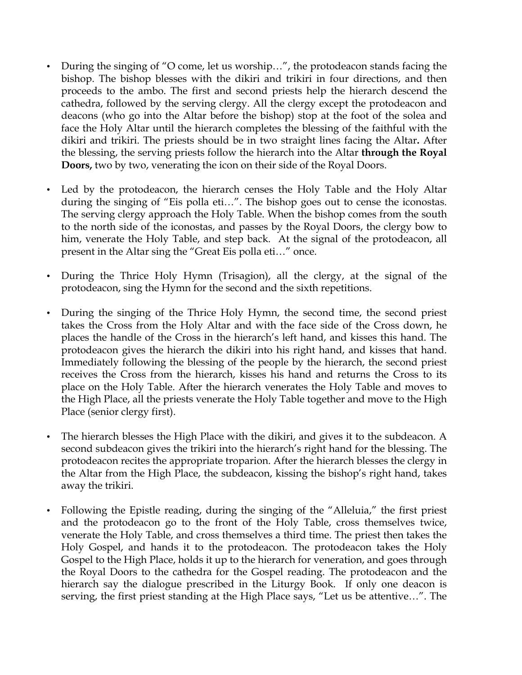- During the singing of "O come, let us worship…", the protodeacon stands facing the bishop. The bishop blesses with the dikiri and trikiri in four directions, and then proceeds to the ambo. The first and second priests help the hierarch descend the cathedra, followed by the serving clergy. All the clergy except the protodeacon and deacons (who go into the Altar before the bishop) stop at the foot of the solea and face the Holy Altar until the hierarch completes the blessing of the faithful with the dikiri and trikiri. The priests should be in two straight lines facing the Altar**.** After the blessing, the serving priests follow the hierarch into the Altar **through the Royal Doors,** two by two, venerating the icon on their side of the Royal Doors.
- Led by the protodeacon, the hierarch censes the Holy Table and the Holy Altar during the singing of "Eis polla eti…". The bishop goes out to cense the iconostas. The serving clergy approach the Holy Table. When the bishop comes from the south to the north side of the iconostas, and passes by the Royal Doors, the clergy bow to him, venerate the Holy Table, and step back. At the signal of the protodeacon, all present in the Altar sing the "Great Eis polla eti…" once.
- During the Thrice Holy Hymn (Trisagion), all the clergy, at the signal of the protodeacon, sing the Hymn for the second and the sixth repetitions.
- During the singing of the Thrice Holy Hymn, the second time, the second priest takes the Cross from the Holy Altar and with the face side of the Cross down, he places the handle of the Cross in the hierarch's left hand, and kisses this hand. The protodeacon gives the hierarch the dikiri into his right hand, and kisses that hand. Immediately following the blessing of the people by the hierarch, the second priest receives the Cross from the hierarch, kisses his hand and returns the Cross to its place on the Holy Table. After the hierarch venerates the Holy Table and moves to the High Place, all the priests venerate the Holy Table together and move to the High Place (senior clergy first).
- The hierarch blesses the High Place with the dikiri, and gives it to the subdeacon. A second subdeacon gives the trikiri into the hierarch's right hand for the blessing. The protodeacon recites the appropriate troparion. After the hierarch blesses the clergy in the Altar from the High Place, the subdeacon, kissing the bishop's right hand, takes away the trikiri.
- Following the Epistle reading, during the singing of the "Alleluia," the first priest and the protodeacon go to the front of the Holy Table, cross themselves twice, venerate the Holy Table, and cross themselves a third time. The priest then takes the Holy Gospel, and hands it to the protodeacon. The protodeacon takes the Holy Gospel to the High Place, holds it up to the hierarch for veneration, and goes through the Royal Doors to the cathedra for the Gospel reading. The protodeacon and the hierarch say the dialogue prescribed in the Liturgy Book. If only one deacon is serving, the first priest standing at the High Place says, "Let us be attentive…". The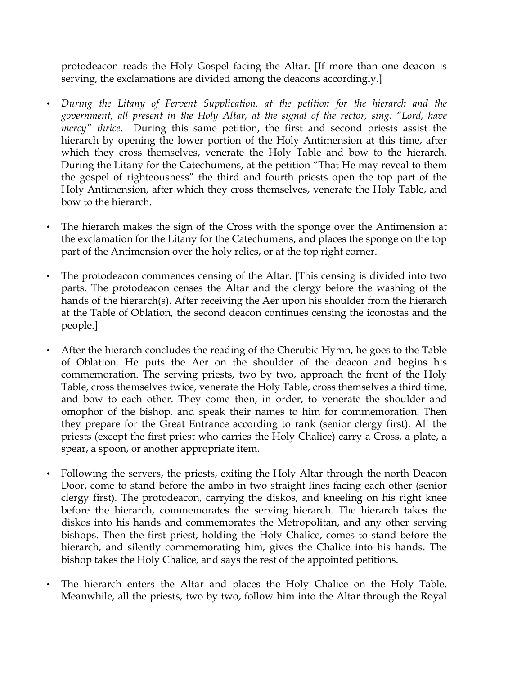protodeacon reads the Holy Gospel facing the Altar. [If more than one deacon is serving, the exclamations are divided among the deacons accordingly.]

- *During the Litany of Fervent Supplication, at the petition for the hierarch and the government, all present in the Holy Altar, at the signal of the rector, sing: "Lord, have mercy" thrice*. During this same petition, the first and second priests assist the hierarch by opening the lower portion of the Holy Antimension at this time, after which they cross themselves, venerate the Holy Table and bow to the hierarch. During the Litany for the Catechumens, at the petition "That He may reveal to them the gospel of righteousness" the third and fourth priests open the top part of the Holy Antimension, after which they cross themselves, venerate the Holy Table, and bow to the hierarch.
- The hierarch makes the sign of the Cross with the sponge over the Antimension at the exclamation for the Litany for the Catechumens, and places the sponge on the top part of the Antimension over the holy relics, or at the top right corner.
- The protodeacon commences censing of the Altar. **[**This censing is divided into two parts. The protodeacon censes the Altar and the clergy before the washing of the hands of the hierarch(s). After receiving the Aer upon his shoulder from the hierarch at the Table of Oblation, the second deacon continues censing the iconostas and the people.]
- After the hierarch concludes the reading of the Cherubic Hymn, he goes to the Table of Oblation. He puts the Aer on the shoulder of the deacon and begins his commemoration. The serving priests, two by two, approach the front of the Holy Table, cross themselves twice, venerate the Holy Table, cross themselves a third time, and bow to each other. They come then, in order, to venerate the shoulder and omophor of the bishop, and speak their names to him for commemoration. Then they prepare for the Great Entrance according to rank (senior clergy first). All the priests (except the first priest who carries the Holy Chalice) carry a Cross, a plate, a spear, a spoon, or another appropriate item.
- Following the servers, the priests, exiting the Holy Altar through the north Deacon Door, come to stand before the ambo in two straight lines facing each other (senior clergy first). The protodeacon, carrying the diskos, and kneeling on his right knee before the hierarch, commemorates the serving hierarch. The hierarch takes the diskos into his hands and commemorates the Metropolitan, and any other serving bishops. Then the first priest, holding the Holy Chalice, comes to stand before the hierarch, and silently commemorating him, gives the Chalice into his hands. The bishop takes the Holy Chalice, and says the rest of the appointed petitions.
- The hierarch enters the Altar and places the Holy Chalice on the Holy Table. Meanwhile, all the priests, two by two, follow him into the Altar through the Royal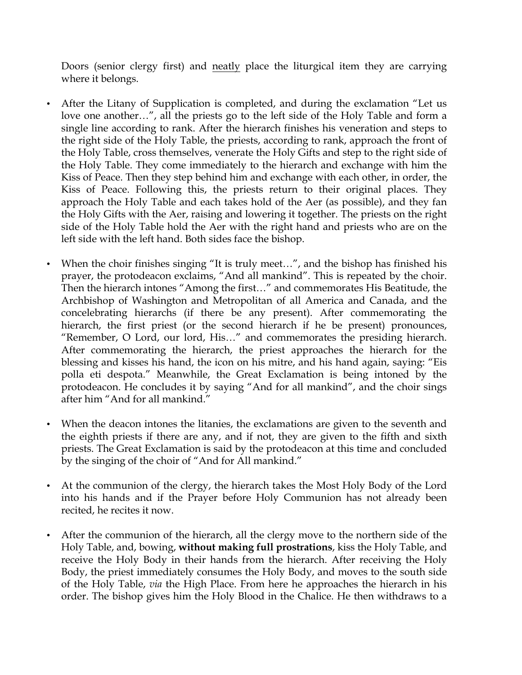Doors (senior clergy first) and neatly place the liturgical item they are carrying where it belongs.

- After the Litany of Supplication is completed, and during the exclamation "Let us love one another…", all the priests go to the left side of the Holy Table and form a single line according to rank. After the hierarch finishes his veneration and steps to the right side of the Holy Table, the priests, according to rank, approach the front of the Holy Table, cross themselves, venerate the Holy Gifts and step to the right side of the Holy Table. They come immediately to the hierarch and exchange with him the Kiss of Peace. Then they step behind him and exchange with each other, in order, the Kiss of Peace. Following this, the priests return to their original places. They approach the Holy Table and each takes hold of the Aer (as possible), and they fan the Holy Gifts with the Aer, raising and lowering it together. The priests on the right side of the Holy Table hold the Aer with the right hand and priests who are on the left side with the left hand. Both sides face the bishop.
- When the choir finishes singing "It is truly meet...", and the bishop has finished his prayer, the protodeacon exclaims, "And all mankind". This is repeated by the choir. Then the hierarch intones "Among the first…" and commemorates His Beatitude, the Archbishop of Washington and Metropolitan of all America and Canada, and the concelebrating hierarchs (if there be any present). After commemorating the hierarch, the first priest (or the second hierarch if he be present) pronounces, "Remember, O Lord, our lord, His…" and commemorates the presiding hierarch. After commemorating the hierarch, the priest approaches the hierarch for the blessing and kisses his hand, the icon on his mitre, and his hand again, saying: "Eis polla eti despota." Meanwhile, the Great Exclamation is being intoned by the protodeacon. He concludes it by saying "And for all mankind", and the choir sings after him "And for all mankind."
- When the deacon intones the litanies, the exclamations are given to the seventh and the eighth priests if there are any, and if not, they are given to the fifth and sixth priests. The Great Exclamation is said by the protodeacon at this time and concluded by the singing of the choir of "And for All mankind."
- At the communion of the clergy, the hierarch takes the Most Holy Body of the Lord into his hands and if the Prayer before Holy Communion has not already been recited, he recites it now.
- After the communion of the hierarch, all the clergy move to the northern side of the Holy Table, and, bowing, **without making full prostrations**, kiss the Holy Table, and receive the Holy Body in their hands from the hierarch. After receiving the Holy Body, the priest immediately consumes the Holy Body, and moves to the south side of the Holy Table, *via* the High Place. From here he approaches the hierarch in his order. The bishop gives him the Holy Blood in the Chalice. He then withdraws to a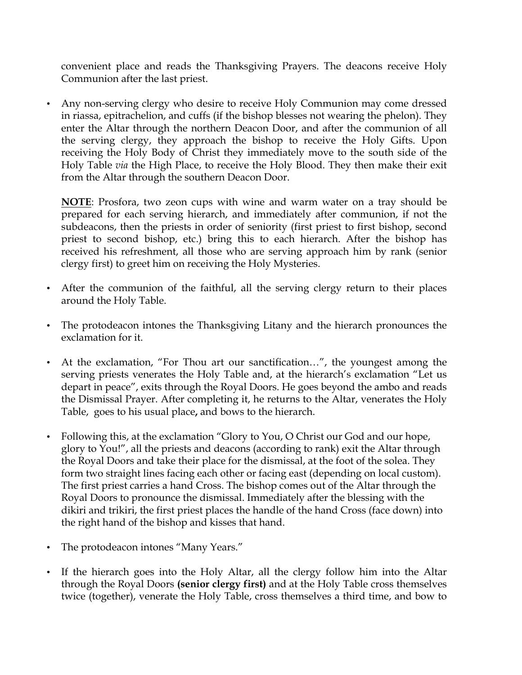convenient place and reads the Thanksgiving Prayers. The deacons receive Holy Communion after the last priest.

• Any non-serving clergy who desire to receive Holy Communion may come dressed in riassa, epitrachelion, and cuffs (if the bishop blesses not wearing the phelon). They enter the Altar through the northern Deacon Door, and after the communion of all the serving clergy, they approach the bishop to receive the Holy Gifts. Upon receiving the Holy Body of Christ they immediately move to the south side of the Holy Table *via* the High Place, to receive the Holy Blood. They then make their exit from the Altar through the southern Deacon Door.

**NOTE**: Prosfora, two zeon cups with wine and warm water on a tray should be prepared for each serving hierarch, and immediately after communion, if not the subdeacons, then the priests in order of seniority (first priest to first bishop, second priest to second bishop, etc.) bring this to each hierarch. After the bishop has received his refreshment, all those who are serving approach him by rank (senior clergy first) to greet him on receiving the Holy Mysteries.

- After the communion of the faithful, all the serving clergy return to their places around the Holy Table.
- The protodeacon intones the Thanksgiving Litany and the hierarch pronounces the exclamation for it.
- At the exclamation, "For Thou art our sanctification...", the youngest among the serving priests venerates the Holy Table and, at the hierarch's exclamation "Let us depart in peace", exits through the Royal Doors. He goes beyond the ambo and reads the Dismissal Prayer. After completing it, he returns to the Altar, venerates the Holy Table, goes to his usual place**,** and bows to the hierarch.
- Following this, at the exclamation "Glory to You, O Christ our God and our hope, glory to You!", all the priests and deacons (according to rank) exit the Altar through the Royal Doors and take their place for the dismissal, at the foot of the solea. They form two straight lines facing each other or facing east (depending on local custom). The first priest carries a hand Cross. The bishop comes out of the Altar through the Royal Doors to pronounce the dismissal. Immediately after the blessing with the dikiri and trikiri, the first priest places the handle of the hand Cross (face down) into the right hand of the bishop and kisses that hand.
- The protodeacon intones "Many Years."
- If the hierarch goes into the Holy Altar, all the clergy follow him into the Altar through the Royal Doors **(senior clergy first)** and at the Holy Table cross themselves twice (together), venerate the Holy Table, cross themselves a third time, and bow to